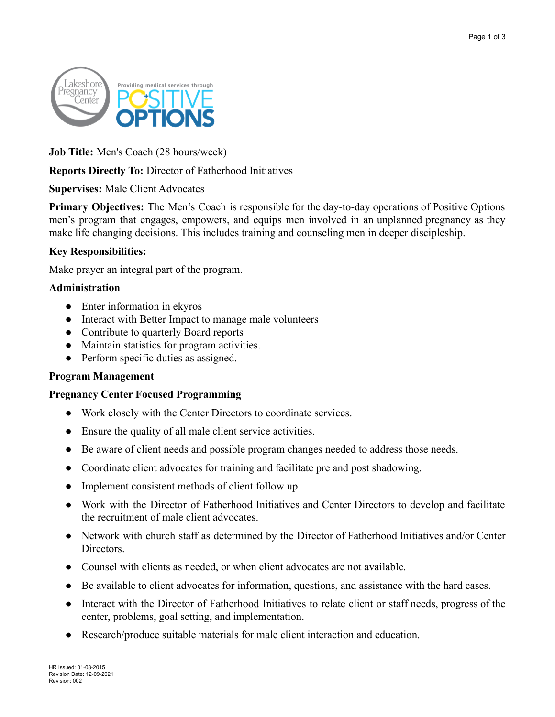

**Job Title:** Men's Coach (28 hours/week)

# **Reports Directly To:** Director of Fatherhood Initiatives

## **Supervises:** Male Client Advocates

**Primary Objectives:** The Men's Coach is responsible for the day-to-day operations of Positive Options men's program that engages, empowers, and equips men involved in an unplanned pregnancy as they make life changing decisions. This includes training and counseling men in deeper discipleship.

## **Key Responsibilities:**

Make prayer an integral part of the program.

## **Administration**

- Enter information in ekyros
- Interact with Better Impact to manage male volunteers
- Contribute to quarterly Board reports
- Maintain statistics for program activities.
- Perform specific duties as assigned.

## **Program Management**

## **Pregnancy Center Focused Programming**

- Work closely with the Center Directors to coordinate services.
- Ensure the quality of all male client service activities.
- Be aware of client needs and possible program changes needed to address those needs.
- Coordinate client advocates for training and facilitate pre and post shadowing.
- Implement consistent methods of client follow up
- Work with the Director of Fatherhood Initiatives and Center Directors to develop and facilitate the recruitment of male client advocates.
- Network with church staff as determined by the Director of Fatherhood Initiatives and/or Center Directors.
- Counsel with clients as needed, or when client advocates are not available.
- Be available to client advocates for information, questions, and assistance with the hard cases.
- Interact with the Director of Fatherhood Initiatives to relate client or staff needs, progress of the center, problems, goal setting, and implementation.
- Research/produce suitable materials for male client interaction and education.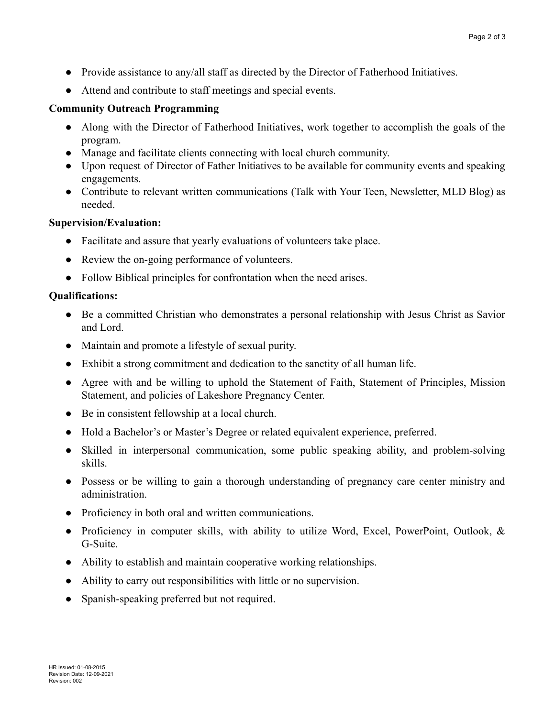- Provide assistance to any/all staff as directed by the Director of Fatherhood Initiatives.
- Attend and contribute to staff meetings and special events.

#### **Community Outreach Programming**

- Along with the Director of Fatherhood Initiatives, work together to accomplish the goals of the program.
- Manage and facilitate clients connecting with local church community.
- Upon request of Director of Father Initiatives to be available for community events and speaking engagements.
- Contribute to relevant written communications (Talk with Your Teen, Newsletter, MLD Blog) as needed.

## **Supervision/Evaluation:**

- Facilitate and assure that yearly evaluations of volunteers take place.
- Review the on-going performance of volunteers.
- Follow Biblical principles for confrontation when the need arises.

## **Qualifications:**

- Be a committed Christian who demonstrates a personal relationship with Jesus Christ as Savior and Lord.
- Maintain and promote a lifestyle of sexual purity.
- Exhibit a strong commitment and dedication to the sanctity of all human life.
- Agree with and be willing to uphold the Statement of Faith, Statement of Principles, Mission Statement, and policies of Lakeshore Pregnancy Center.
- Be in consistent fellowship at a local church.
- Hold a Bachelor's or Master's Degree or related equivalent experience, preferred.
- Skilled in interpersonal communication, some public speaking ability, and problem-solving skills.
- Possess or be willing to gain a thorough understanding of pregnancy care center ministry and administration.
- Proficiency in both oral and written communications.
- Proficiency in computer skills, with ability to utilize Word, Excel, PowerPoint, Outlook, & G-Suite.
- Ability to establish and maintain cooperative working relationships.
- Ability to carry out responsibilities with little or no supervision.
- Spanish-speaking preferred but not required.